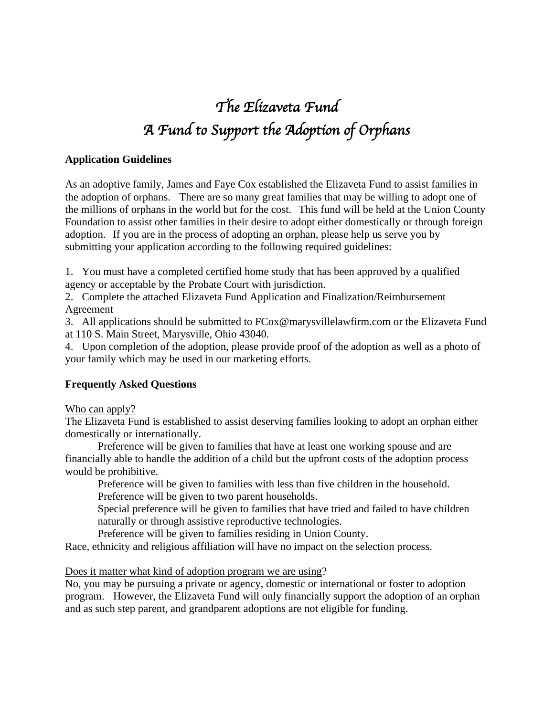# *The Elizaveta Fund A Fund to Support the Adoption of Orphans*

## **Application Guidelines**

As an adoptive family, James and Faye Cox established the Elizaveta Fund to assist families in the adoption of orphans. There are so many great families that may be willing to adopt one of the millions of orphans in the world but for the cost. This fund will be held at the Union County Foundation to assist other families in their desire to adopt either domestically or through foreign adoption. If you are in the process of adopting an orphan, please help us serve you by submitting your application according to the following required guidelines:

1. You must have a completed certified home study that has been approved by a qualified agency or acceptable by the Probate Court with jurisdiction.

2. Complete the attached Elizaveta Fund Application and Finalization/Reimbursement Agreement

3. All applications should be submitted to FCox@marysvillelawfirm.com or the Elizaveta Fund at 110 S. Main Street, Marysville, Ohio 43040.

4. Upon completion of the adoption, please provide proof of the adoption as well as a photo of your family which may be used in our marketing efforts.

## **Frequently Asked Questions**

Who can apply?

The Elizaveta Fund is established to assist deserving families looking to adopt an orphan either domestically or internationally.

Preference will be given to families that have at least one working spouse and are financially able to handle the addition of a child but the upfront costs of the adoption process would be prohibitive.

Preference will be given to families with less than five children in the household. Preference will be given to two parent households.

Special preference will be given to families that have tried and failed to have children naturally or through assistive reproductive technologies.

Preference will be given to families residing in Union County.

Race, ethnicity and religious affiliation will have no impact on the selection process.

#### Does it matter what kind of adoption program we are using?

No, you may be pursuing a private or agency, domestic or international or foster to adoption program. However, the Elizaveta Fund will only financially support the adoption of an orphan and as such step parent, and grandparent adoptions are not eligible for funding.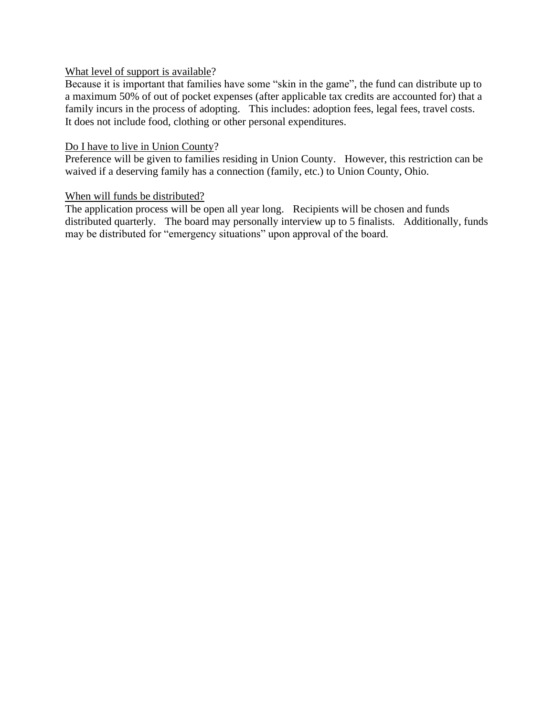## What level of support is available?

Because it is important that families have some "skin in the game", the fund can distribute up to a maximum 50% of out of pocket expenses (after applicable tax credits are accounted for) that a family incurs in the process of adopting. This includes: adoption fees, legal fees, travel costs. It does not include food, clothing or other personal expenditures.

#### Do I have to live in Union County?

Preference will be given to families residing in Union County. However, this restriction can be waived if a deserving family has a connection (family, etc.) to Union County, Ohio.

#### When will funds be distributed?

The application process will be open all year long. Recipients will be chosen and funds distributed quarterly. The board may personally interview up to 5 finalists. Additionally, funds may be distributed for "emergency situations" upon approval of the board.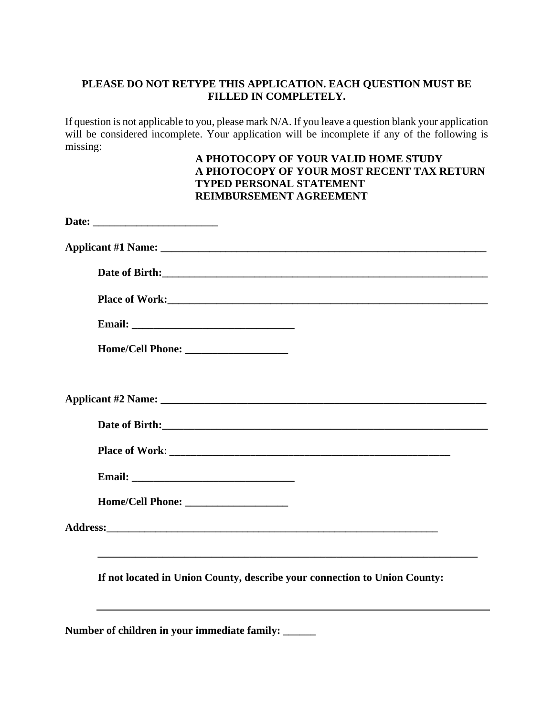# **PLEASE DO NOT RETYPE THIS APPLICATION. EACH QUESTION MUST BE FILLED IN COMPLETELY.**

If question is not applicable to you, please mark N/A. If you leave a question blank your application will be considered incomplete. Your application will be incomplete if any of the following is missing:

## **A PHOTOCOPY OF YOUR VALID HOME STUDY A PHOTOCOPY OF YOUR MOST RECENT TAX RETURN TYPED PERSONAL STATEMENT REIMBURSEMENT AGREEMENT**

| Home/Cell Phone:                                                          |  |
|---------------------------------------------------------------------------|--|
|                                                                           |  |
| If not located in Union County, describe your connection to Union County: |  |
| Number of children in your immediate family: _____                        |  |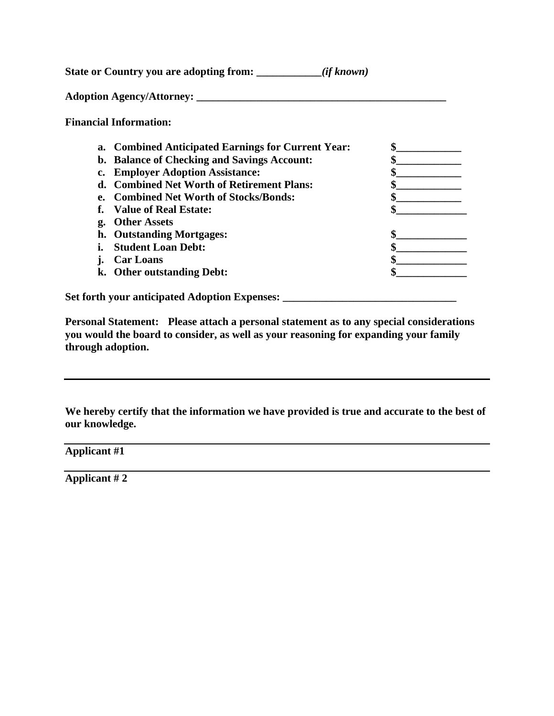**State or Country you are adopting from: \_\_\_\_\_\_\_\_\_\_\_\_***(if known)*

**Adoption Agency/Attorney: \_\_\_\_\_\_\_\_\_\_\_\_\_\_\_\_\_\_\_\_\_\_\_\_\_\_\_\_\_\_\_\_\_\_\_\_\_\_\_\_\_\_\_\_\_\_**

**Financial Information:**

| b. Balance of Checking and Savings Account:<br>c. Employer Adoption Assistance:<br>d. Combined Net Worth of Retirement Plans:<br><b>Combined Net Worth of Stocks/Bonds:</b><br>е.<br>Value of Real Estate:<br><b>Other Assets</b><br>g.<br>h. Outstanding Mortgages: |
|----------------------------------------------------------------------------------------------------------------------------------------------------------------------------------------------------------------------------------------------------------------------|
|                                                                                                                                                                                                                                                                      |
|                                                                                                                                                                                                                                                                      |
|                                                                                                                                                                                                                                                                      |
|                                                                                                                                                                                                                                                                      |
|                                                                                                                                                                                                                                                                      |
|                                                                                                                                                                                                                                                                      |
|                                                                                                                                                                                                                                                                      |
| <b>Student Loan Debt:</b>                                                                                                                                                                                                                                            |
| <b>Car Loans</b>                                                                                                                                                                                                                                                     |
| k. Other outstanding Debt:                                                                                                                                                                                                                                           |

**Personal Statement: Please attach a personal statement as to any special considerations you would the board to consider, as well as your reasoning for expanding your family through adoption.**

**We hereby certify that the information we have provided is true and accurate to the best of our knowledge.** 

**Applicant #1**

**Applicant # 2**